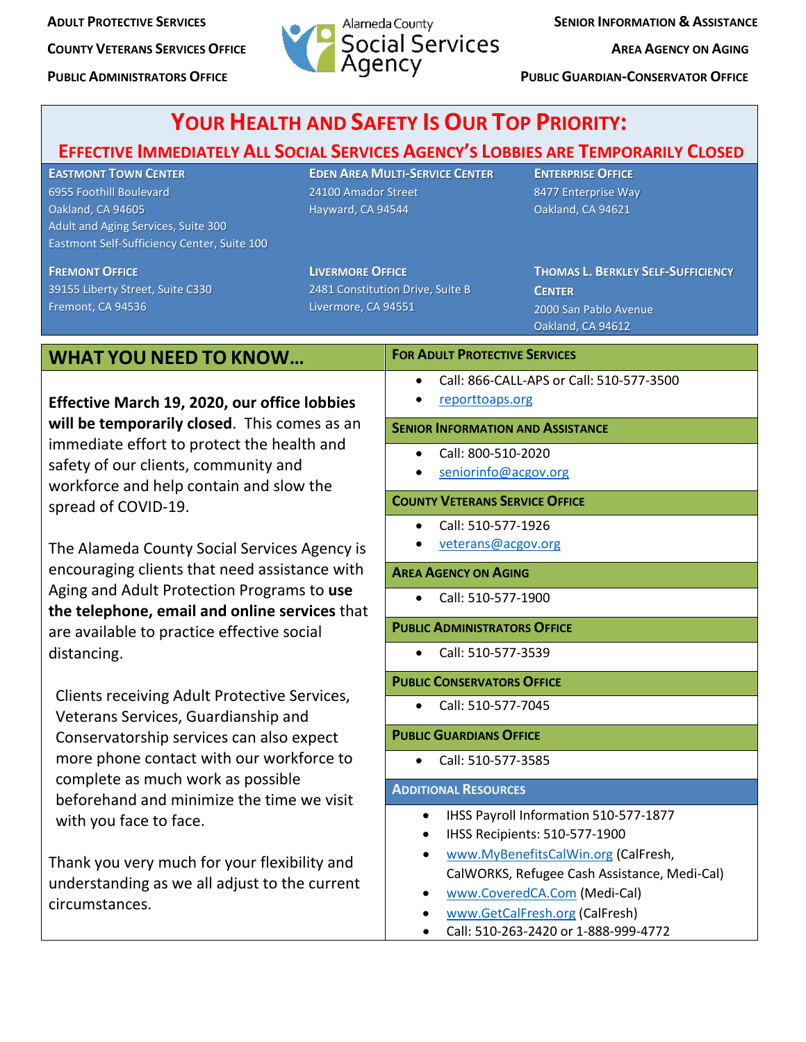

**PUBLIC ADMINISTRATORS OFFICE PUBLIC ADMINISTRATORS OFFICE** 

| <b>YOUR HEALTH AND SAFETY IS OUR TOP PRIORITY:</b>                                                                                                                                                                                                            |                                                                                    |                                                                          |                                                                                                                                                                                                                                                                         |
|---------------------------------------------------------------------------------------------------------------------------------------------------------------------------------------------------------------------------------------------------------------|------------------------------------------------------------------------------------|--------------------------------------------------------------------------|-------------------------------------------------------------------------------------------------------------------------------------------------------------------------------------------------------------------------------------------------------------------------|
| <b>EFFECTIVE IMMEDIATELY ALL SOCIAL SERVICES AGENCY'S LOBBIES ARE TEMPORARILY CLOSED</b><br><b>EASTMONT TOWN CENTER</b><br>6955 Foothill Boulevard<br>Oakland, CA 94605<br>Adult and Aging Services, Suite 300<br>Eastmont Self-Sufficiency Center, Suite 100 | <b>EDEN AREA MULTI-SERVICE CENTER</b><br>24100 Amador Street<br>Hayward, CA 94544  |                                                                          | <b>ENTERPRISE OFFICE</b><br>8477 Enterprise Way<br>Oakland, CA 94621                                                                                                                                                                                                    |
| <b>FREMONT OFFICE</b><br>39155 Liberty Street, Suite C330<br>Fremont, CA 94536                                                                                                                                                                                | <b>LIVERMORE OFFICE</b><br>2481 Constitution Drive, Suite B<br>Livermore, CA 94551 |                                                                          | <b>THOMAS L. BERKLEY SELF-SUFFICIENCY</b><br><b>CENTER</b><br>2000 San Pablo Avenue<br>Oakland, CA 94612                                                                                                                                                                |
| <b>WHAT YOU NEED TO KNOW</b>                                                                                                                                                                                                                                  |                                                                                    | <b>FOR ADULT PROTECTIVE SERVICES</b>                                     |                                                                                                                                                                                                                                                                         |
| Effective March 19, 2020, our office lobbies                                                                                                                                                                                                                  |                                                                                    | Call: 866-CALL-APS or Call: 510-577-3500<br>$\bullet$<br>reporttoaps.org |                                                                                                                                                                                                                                                                         |
| will be temporarily closed. This comes as an<br>immediate effort to protect the health and<br>safety of our clients, community and<br>workforce and help contain and slow the<br>spread of COVID-19.                                                          |                                                                                    | <b>SENIOR INFORMATION AND ASSISTANCE</b>                                 |                                                                                                                                                                                                                                                                         |
|                                                                                                                                                                                                                                                               |                                                                                    | Call: 800-510-2020<br>$\bullet$<br>seniorinfo@acgov.org                  |                                                                                                                                                                                                                                                                         |
|                                                                                                                                                                                                                                                               |                                                                                    | <b>COUNTY VETERANS SERVICE OFFICE</b>                                    |                                                                                                                                                                                                                                                                         |
| The Alameda County Social Services Agency is                                                                                                                                                                                                                  |                                                                                    | Call: 510-577-1926<br>$\bullet$<br>veterans@acgov.org                    |                                                                                                                                                                                                                                                                         |
| encouraging clients that need assistance with<br>Aging and Adult Protection Programs to use<br>the telephone, email and online services that                                                                                                                  |                                                                                    | <b>AREA AGENCY ON AGING</b>                                              |                                                                                                                                                                                                                                                                         |
|                                                                                                                                                                                                                                                               |                                                                                    | Call: 510-577-1900<br>$\bullet$                                          |                                                                                                                                                                                                                                                                         |
| are available to practice effective social<br>distancing.                                                                                                                                                                                                     |                                                                                    | <b>PUBLIC ADMINISTRATORS OFFICE</b>                                      |                                                                                                                                                                                                                                                                         |
|                                                                                                                                                                                                                                                               |                                                                                    | Call: 510-577-3539<br>$\bullet$                                          |                                                                                                                                                                                                                                                                         |
| Clients receiving Adult Protective Services,<br>Veterans Services, Guardianship and<br>Conservatorship services can also expect<br>more phone contact with our workforce to<br>complete as much work as possible<br>beforehand and minimize the time we visit |                                                                                    | <b>PUBLIC CONSERVATORS OFFICE</b>                                        |                                                                                                                                                                                                                                                                         |
|                                                                                                                                                                                                                                                               |                                                                                    | Call: 510-577-7045<br>$\bullet$                                          |                                                                                                                                                                                                                                                                         |
|                                                                                                                                                                                                                                                               |                                                                                    | <b>PUBLIC GUARDIANS OFFICE</b>                                           |                                                                                                                                                                                                                                                                         |
|                                                                                                                                                                                                                                                               |                                                                                    | Call: 510-577-3585<br>$\bullet$                                          |                                                                                                                                                                                                                                                                         |
|                                                                                                                                                                                                                                                               |                                                                                    | <b>ADDITIONAL RESOURCES</b>                                              |                                                                                                                                                                                                                                                                         |
| with you face to face.<br>Thank you very much for your flexibility and<br>understanding as we all adjust to the current<br>circumstances.                                                                                                                     |                                                                                    | $\bullet$                                                                | IHSS Payroll Information 510-577-1877<br>IHSS Recipients: 510-577-1900<br>www.MyBenefitsCalWin.org (CalFresh,<br>CalWORKS, Refugee Cash Assistance, Medi-Cal)<br>www.CoveredCA.Com (Medi-Cal)<br>www.GetCalFresh.org (CalFresh)<br>Call: 510-263-2420 or 1-888-999-4772 |